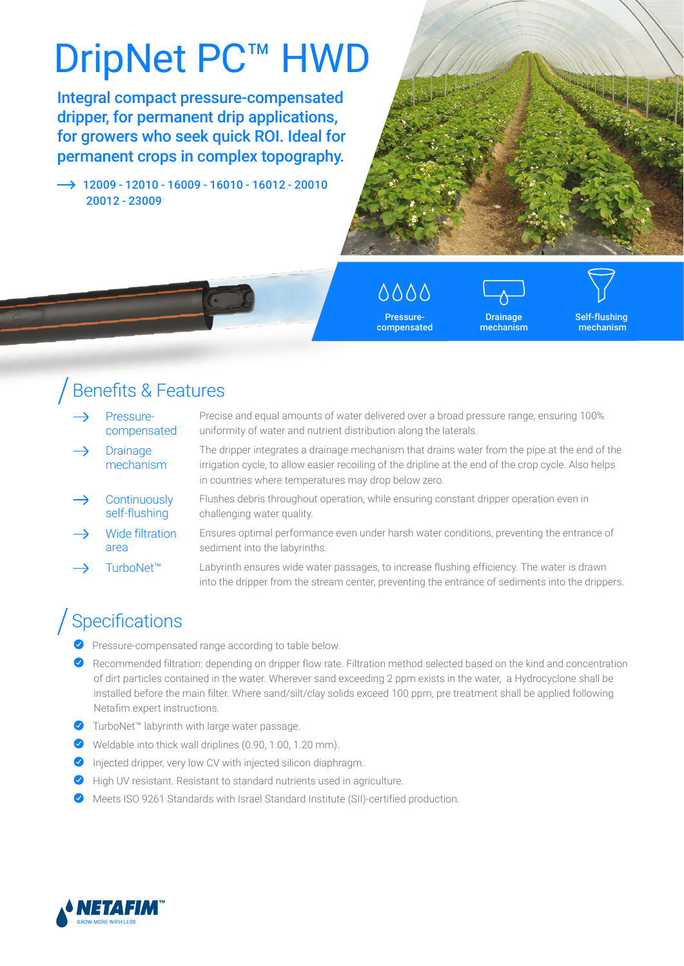# DripNet PC<sup>™</sup> HWD

Integral compact pressure-compensated dripper, for permanent drip applications, for growers who seek quick ROI. Ideal for permanent crops in complex topography.

 $\rightarrow$  12009 - 12010 - 16009 - 16010 - 16012 - 20010 20012 - 23009



0000 Pressurecompensated

Drainage mechanism

Self-flushing mechanism

## Benefits & Features

| Pressure-<br>compensated       | Precise and equal amounts of water delivered over a broad pressure range, ensuring 100%<br>uniformity of water and nutrient distribution along the laterals.                                                                                                  |
|--------------------------------|---------------------------------------------------------------------------------------------------------------------------------------------------------------------------------------------------------------------------------------------------------------|
| <b>Drainage</b><br>mechanism   | The dripper integrates a drainage mechanism that drains water from the pipe at the end of the<br>irrigation cycle, to allow easier recoiling of the dripline at the end of the crop cycle. Also helps<br>in countries where temperatures may drop below zero. |
| Continuously<br>self-flushing  | Flushes debris throughout operation, while ensuring constant dripper operation even in<br>challenging water quality.                                                                                                                                          |
| <b>Wide filtration</b><br>area | Ensures optimal performance even under harsh water conditions, preventing the entrance of<br>sediment into the labyrinths.                                                                                                                                    |
|                                |                                                                                                                                                                                                                                                               |

TurboNet™ Labyrinth ensures wide water passages, to increase flushing efficiency. The water is drawn into the dripper from the stream center, preventing the entrance of sediments into the drippers.

## Specifications

- Pressure-compensated range according to table below.
- Recommended filtration: depending on dripper flow rate. Filtration method selected based on the kind and concentration of dirt particles contained in the water. Wherever sand exceeding 2 ppm exists in the water, a Hydrocyclone shall be installed before the main filter. Where sand/silt/clay solids exceed 100 ppm, pre treatment shall be applied following Netafim expert instructions.
- ◆ TurboNet™ labyrinth with large water passage.
- Weldable into thick wall driplines (0.90, 1.00, 1.20 mm).
- $\bullet$  Injected dripper, very low CV with injected silicon diaphragm.
- High UV resistant. Resistant to standard nutrients used in agriculture.
- Meets ISO 9261 Standards with Israel Standard Institute (SII)-certified production.